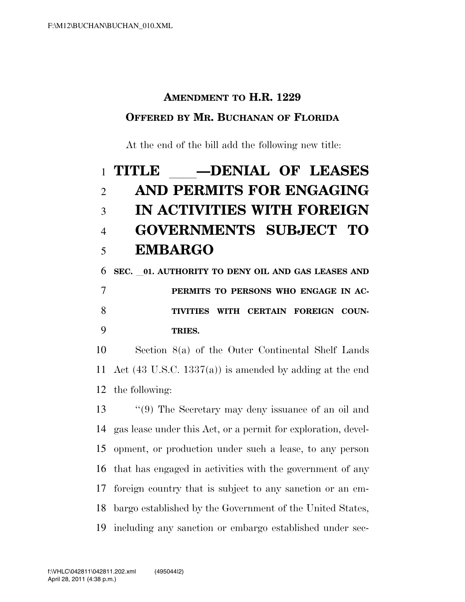## **AMENDMENT TO H.R. 1229**

## **OFFERED BY MR. BUCHANAN OF FLORIDA**

At the end of the bill add the following new title:

## 1 **TITLE \_\_\_\_DENIAL OF LEASES**<br>2 **AND PERMITS FOR ENGAGING AND PERMITS FOR ENGAGING IN ACTIVITIES WITH FOREIGN GOVERNMENTS SUBJECT TO EMBARGO**

 **SEC.** l**01. AUTHORITY TO DENY OIL AND GAS LEASES AND PERMITS TO PERSONS WHO ENGAGE IN AC- TIVITIES WITH CERTAIN FOREIGN COUN-TRIES.** 

 Section 8(a) of the Outer Continental Shelf Lands Act (43 U.S.C. 1337(a)) is amended by adding at the end the following:

 ''(9) The Secretary may deny issuance of an oil and gas lease under this Act, or a permit for exploration, devel- opment, or production under such a lease, to any person that has engaged in activities with the government of any foreign country that is subject to any sanction or an em- bargo established by the Government of the United States, including any sanction or embargo established under sec-